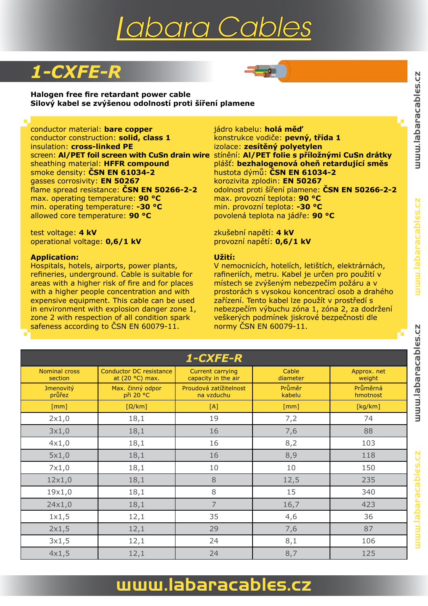# Iabara Cables

### *1-CXFE-R*



**Halogen free fire retardant power cable Silový kabel se zvýšenou odolností proti šíření plamene**

conductor material: **bare copper** jádro kabelu: **holá měď** conductor construction: **solid, class 1** insulation: **cross-linked PE** sheathing material: **HFFR compound** plášť: **bezhalogenová oheň retardující směs** smoke density: **ČSN EN 61034-2** hustota dýmů: **ČSN EN 61034-2** gasses corrosivity: **EN 50267** korozivita zplodin: **EN 50267** max. operating temperature: **90 °C** max. provozní teplota: **90 °C** min. operating temperature: **-30 °C** min. provozní teplota: **-30 °C** allowed core temperature: **90 °C** povolená teplota na jádře: **90 °C**

test voltage: **4 kV** zkušební napětí: **4 kV**  operational voltage: **0,6/1 kV** provozní napětí: **0,6/1 kV**

#### **Application:**

Hospitals, hotels, airports, power plants, refineries, underground. Cable is suitable for areas with a higher risk of fire and for places with a higher people concentration and with expensive equipment. This cable can be used in environment with explosion danger zone 1, zone 2 with respection of all condition spark safeness according to ČSN EN 60079-11.

izolace: zesítěný polyetylen screen: **Al/PET foil screen with CuSn drain wire** stínění: **Al/PET folie s příložnými CuSn drátky** flame spread resistance: **ČSN EN 50266-2-2** odolnost proti šíření plamene: **ČSN EN 50266-2-2**

### **Užití:**

V nemocnicích, hotelích, letištích, elektrárnách, rafineriích, metru. Kabel je určen pro použití v místech se zvýšeným nebezpečím požáru a v prostorách s vysokou koncentrací osob a drahého zařízení. Tento kabel lze použít v prostředí s nebezpečím výbuchu zóna 1, zóna 2, za dodržení veškerých podmínek jiskrové bezpečnosti dle normy ČSN EN 60079-11.

|                                 |                                                   | 1-CXFE-R                                       |                    |                       |
|---------------------------------|---------------------------------------------------|------------------------------------------------|--------------------|-----------------------|
| <b>Nominal cross</b><br>section | <b>Conductor DC resistance</b><br>at (20 °C) max. | <b>Current carrying</b><br>capacity in the air | Cable<br>diameter  | Approx. net<br>weight |
| <b>Jmenovitý</b><br>průřez      | Max. činný odpor<br>při 20 °C                     | Proudová zatížitelnost<br>na vzduchu           | Průměr<br>kabelu   | Průměrná<br>hmotnost  |
| $\lceil mm \rceil$              | $\left[\Omega/\mathrm{km}\right]$                 | [A]                                            | $\lceil mm \rceil$ | [kg/km]               |
| 2x1,0                           | 18,1                                              | 19                                             | 7,2                | 74                    |
| 3x1,0                           | 18,1                                              | 16                                             | 7,6                | 88                    |
| 4x1,0                           | 18,1                                              | 16                                             | 8,2                | 103                   |
| 5x1,0                           | 18,1                                              | 16                                             | 8,9                | 118                   |
| 7x1,0                           | 18,1                                              | 10                                             | 10                 | 150                   |
| 12x1,0                          | 18,1                                              | 8                                              | 12,5               | 235                   |
| 19x1,0                          | 18,1                                              | 8                                              | 15                 | 340                   |
| 24x1,0                          | 18,1                                              | 7                                              | 16,7               | 423                   |
| 1x1,5                           | 12,1                                              | 35                                             | 4,6                | 36                    |
| 2x1,5                           | 12,1                                              | 29                                             | 7,6                | 87                    |
| 3x1,5                           | 12,1                                              | 24                                             | 8,1                | 106                   |
| 4x1,5                           | 12,1                                              | 24                                             | 8,7                | 125                   |

### www.labaracables.cz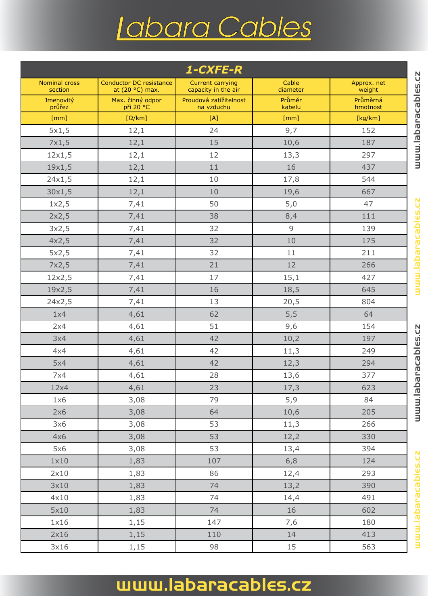# Iabara Cables

| 1-CXFE-R<br>uuu labaracables.cz |                                                   |                                                |                   |                       |  |  |
|---------------------------------|---------------------------------------------------|------------------------------------------------|-------------------|-----------------------|--|--|
| <b>Nominal cross</b><br>section | <b>Conductor DC resistance</b><br>at (20 °C) max. | <b>Current carrying</b><br>capacity in the air | Cable<br>diameter | Approx. net<br>weight |  |  |
| Jmenovitý<br>průřez             | Max. činný odpor<br>při 20 °C                     | Proudová zatížitelnost<br>na vzduchu           | Průměr<br>kabelu  | Průměrná<br>hmotnost  |  |  |
| [mm]                            | $[\Omega/km]$                                     | [A]                                            | [mm]              | [kg/km]               |  |  |
| 5x1,5                           | 12,1                                              | 24                                             | 9,7               | 152                   |  |  |
| 7x1,5                           | 12,1                                              | 15                                             | 10,6              | 187                   |  |  |
| 12x1,5                          | 12,1                                              | 12                                             | 13,3              | 297                   |  |  |
| 19x1,5                          | 12,1                                              | 11                                             | 16                | 437                   |  |  |
| 24x1,5                          | 12,1                                              | 10                                             | 17,8              | 544                   |  |  |
| 30x1,5                          | 12,1                                              | 10                                             | 19,6              | 667                   |  |  |
| 1x2,5                           | 7,41                                              | 50                                             | 5,0               | 47                    |  |  |
| 2x2,5                           | 7,41                                              | 38                                             | 8,4               | 111                   |  |  |
| 3x2,5                           | 7,41                                              | 32                                             | 9                 | 139                   |  |  |
| 4x2,5                           | 7,41                                              | 32                                             | 10                | 175                   |  |  |
| 5x2,5                           | 7,41                                              | 32                                             | 11                | 211                   |  |  |
| 7x2,5                           | 7,41                                              | 21                                             | 12                | 266                   |  |  |
| 12x2,5                          | 7,41                                              | 17                                             | 15,1              | 427                   |  |  |
| 19x2,5                          | 7,41                                              | 16                                             | 18,5              | 645                   |  |  |
| 24x2,5                          | 7,41                                              | 13                                             | 20,5              | 804                   |  |  |
| 1x4                             | 4,61                                              | 62                                             | 5,5               | 64                    |  |  |
| 2x4                             | 4,61                                              | 51                                             | 9,6               | 154                   |  |  |
| 3x4                             | 4,61                                              | 42                                             | 10,2              | 197                   |  |  |
| 4x4                             | 4,61                                              | 42                                             | 11,3              | 249                   |  |  |
| 5x4                             | 4,61                                              | 42                                             | 12,3              | 294                   |  |  |
| 7x4                             | 4,61                                              | 28                                             | 13,6              | 377                   |  |  |
| 12x4                            | 4,61                                              | 23                                             | 17,3              | 623                   |  |  |
| 1x6                             | 3,08                                              | 79                                             | 5,9               | 84                    |  |  |
| 2x6                             | 3,08                                              | 64                                             | 10,6              | 205                   |  |  |
| 3x6                             | 3,08                                              | 53                                             | 11,3              | 266                   |  |  |
| 4x6                             | 3,08                                              | 53                                             | 12,2              | 330                   |  |  |
| 5x6                             | 3,08                                              | 53                                             | 13,4              | 394                   |  |  |
| 1x10                            | 1,83                                              | 107                                            | 6, 8              | 124                   |  |  |
| 2x10                            | 1,83                                              | 86                                             | 12,4              | 293                   |  |  |
| 3x10                            | 1,83                                              | 74                                             | 13,2              | 390                   |  |  |
| 4x10                            | 1,83                                              | 74                                             | 14,4              | 491                   |  |  |
| 5x10                            | 1,83                                              | 74                                             | 16                | 602                   |  |  |
| 1x16                            | 1,15                                              | 147                                            | 7,6               | 180                   |  |  |
| 2x16                            | 1,15                                              | 110                                            | 14                | 413                   |  |  |
| 3x16                            | 1,15                                              | 98                                             | 15                | 563                   |  |  |

## www.labaracables.cz